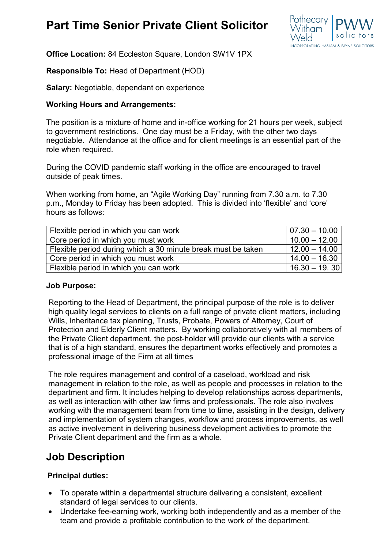# **Part Time Senior Private Client Solicitor**



**Office Location:** 84 Eccleston Square, London SW1V 1PX

**Responsible To:** Head of Department (HOD)

**Salary:** Negotiable, dependant on experience

### **Working Hours and Arrangements:**

The position is a mixture of home and in-office working for 21 hours per week, subject to government restrictions. One day must be a Friday, with the other two days negotiable. Attendance at the office and for client meetings is an essential part of the role when required.

During the COVID pandemic staff working in the office are encouraged to travel outside of peak times.

When working from home, an "Agile Working Day" running from 7.30 a.m. to 7.30 p.m., Monday to Friday has been adopted. This is divided into 'flexible' and 'core' hours as follows:

| Flexible period in which you can work                        | $ 07.30 - 10.00 $ |
|--------------------------------------------------------------|-------------------|
| Core period in which you must work                           | $10.00 - 12.00$   |
| Flexible period during which a 30 minute break must be taken | $12.00 - 14.00$   |
| Core period in which you must work                           | $14.00 - 16.30$   |
| Flexible period in which you can work                        | $16.30 - 19.30$   |

#### **Job Purpose:**

Reporting to the Head of Department, the principal purpose of the role is to deliver high quality legal services to clients on a full range of private client matters, including Wills, Inheritance tax planning, Trusts, Probate, Powers of Attorney, Court of Protection and Elderly Client matters. By working collaboratively with all members of the Private Client department, the post-holder will provide our clients with a service that is of a high standard, ensures the department works effectively and promotes a professional image of the Firm at all times

The role requires management and control of a caseload, workload and risk management in relation to the role, as well as people and processes in relation to the department and firm. It includes helping to develop relationships across departments, as well as interaction with other law firms and professionals. The role also involves working with the management team from time to time, assisting in the design, delivery and implementation of system changes, workflow and process improvements, as well as active involvement in delivering business development activities to promote the Private Client department and the firm as a whole.

## **Job Description**

### **Principal duties:**

- To operate within a departmental structure delivering a consistent, excellent standard of legal services to our clients.
- Undertake fee-earning work, working both independently and as a member of the team and provide a profitable contribution to the work of the department.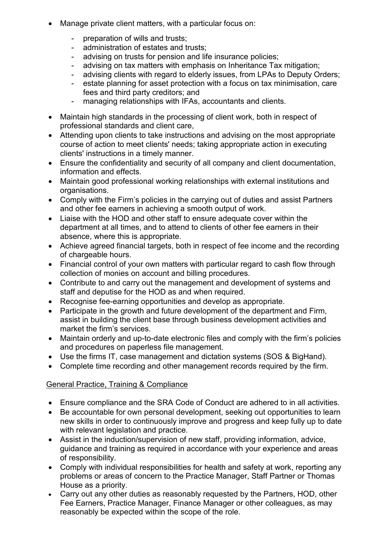- Manage private client matters, with a particular focus on:
	- preparation of wills and trusts;
	- administration of estates and trusts;
	- advising on trusts for pension and life insurance policies;
	- advising on tax matters with emphasis on Inheritance Tax mitigation;
	- advising clients with regard to elderly issues, from LPAs to Deputy Orders;
	- estate planning for asset protection with a focus on tax minimisation, care fees and third party creditors; and
	- managing relationships with IFAs, accountants and clients.
- Maintain high standards in the processing of client work, both in respect of professional standards and client care,
- Attending upon clients to take instructions and advising on the most appropriate course of action to meet clients' needs; taking appropriate action in executing clients' instructions in a timely manner.
- Ensure the confidentiality and security of all company and client documentation, information and effects.
- Maintain good professional working relationships with external institutions and organisations.
- Comply with the Firm's policies in the carrying out of duties and assist Partners and other fee earners in achieving a smooth output of work.
- Liaise with the HOD and other staff to ensure adequate cover within the department at all times, and to attend to clients of other fee earners in their absence, where this is appropriate.
- Achieve agreed financial targets, both in respect of fee income and the recording of chargeable hours.
- Financial control of your own matters with particular regard to cash flow through collection of monies on account and billing procedures.
- Contribute to and carry out the management and development of systems and staff and deputise for the HOD as and when required.
- Recognise fee-earning opportunities and develop as appropriate.
- Participate in the growth and future development of the department and Firm, assist in building the client base through business development activities and market the firm's services.
- Maintain orderly and up-to-date electronic files and comply with the firm's policies and procedures on paperless file management.
- Use the firms IT, case management and dictation systems (SOS & BigHand).
- Complete time recording and other management records required by the firm.

### General Practice, Training & Compliance

- Ensure compliance and the SRA Code of Conduct are adhered to in all activities.
- Be accountable for own personal development, seeking out opportunities to learn new skills in order to continuously improve and progress and keep fully up to date with relevant legislation and practice.
- Assist in the induction/supervision of new staff, providing information, advice, guidance and training as required in accordance with your experience and areas of responsibility.
- Comply with individual responsibilities for health and safety at work, reporting any problems or areas of concern to the Practice Manager, Staff Partner or Thomas House as a priority.
- Carry out any other duties as reasonably requested by the Partners, HOD, other Fee Earners, Practice Manager, Finance Manager or other colleagues, as may reasonably be expected within the scope of the role.